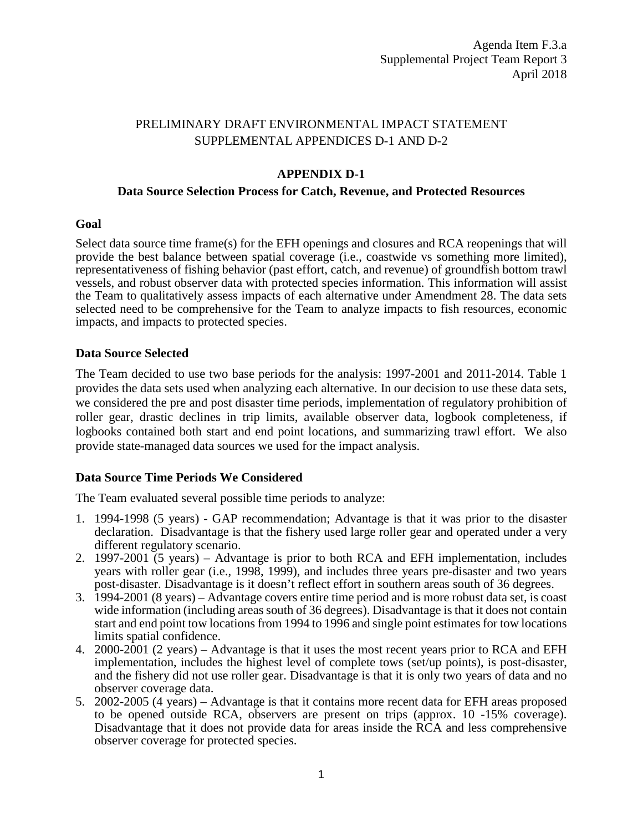# PRELIMINARY DRAFT ENVIRONMENTAL IMPACT STATEMENT SUPPLEMENTAL APPENDICES D-1 AND D-2

# **APPENDIX D-1**

### **Data Source Selection Process for Catch, Revenue, and Protected Resources**

#### **Goal**

Select data source time frame(s) for the EFH openings and closures and RCA reopenings that will provide the best balance between spatial coverage (i.e., coastwide vs something more limited), representativeness of fishing behavior (past effort, catch, and revenue) of groundfish bottom trawl vessels, and robust observer data with protected species information. This information will assist the Team to qualitatively assess impacts of each alternative under Amendment 28. The data sets selected need to be comprehensive for the Team to analyze impacts to fish resources, economic impacts, and impacts to protected species.

### **Data Source Selected**

The Team decided to use two base periods for the analysis: 1997-2001 and 2011-2014. Table 1 provides the data sets used when analyzing each alternative. In our decision to use these data sets, we considered the pre and post disaster time periods, implementation of regulatory prohibition of roller gear, drastic declines in trip limits, available observer data, logbook completeness, if logbooks contained both start and end point locations, and summarizing trawl effort. We also provide state-managed data sources we used for the impact analysis.

### **Data Source Time Periods We Considered**

The Team evaluated several possible time periods to analyze:

- 1. 1994-1998 (5 years) GAP recommendation; Advantage is that it was prior to the disaster declaration. Disadvantage is that the fishery used large roller gear and operated under a very different regulatory scenario.
- 2. 1997-2001 (5 years) Advantage is prior to both RCA and EFH implementation, includes years with roller gear (i.e., 1998, 1999), and includes three years pre-disaster and two years post-disaster. Disadvantage is it doesn't reflect effort in southern areas south of 36 degrees.
- 3. 1994-2001 (8 years) Advantage covers entire time period and is more robust data set, is coast wide information (including areas south of 36 degrees). Disadvantage is that it does not contain start and end point tow locations from 1994 to 1996 and single point estimates for tow locations limits spatial confidence.
- 4. 2000-2001 (2 years) Advantage is that it uses the most recent years prior to RCA and EFH implementation, includes the highest level of complete tows (set/up points), is post-disaster, and the fishery did not use roller gear. Disadvantage is that it is only two years of data and no observer coverage data.
- 5. 2002-2005 (4 years) Advantage is that it contains more recent data for EFH areas proposed to be opened outside RCA, observers are present on trips (approx. 10 -15% coverage). Disadvantage that it does not provide data for areas inside the RCA and less comprehensive observer coverage for protected species.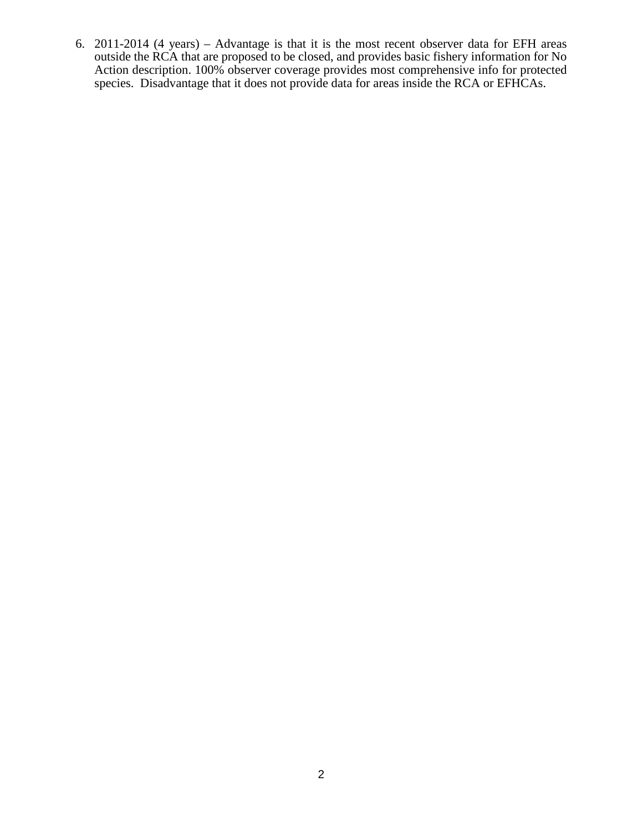6. 2011-2014 (4 years) – Advantage is that it is the most recent observer data for EFH areas outside the RCA that are proposed to be closed, and provides basic fishery information for No Action description. 100% observer coverage provides most comprehensive info for protected species. Disadvantage that it does not provide data for areas inside the RCA or EFHCAs.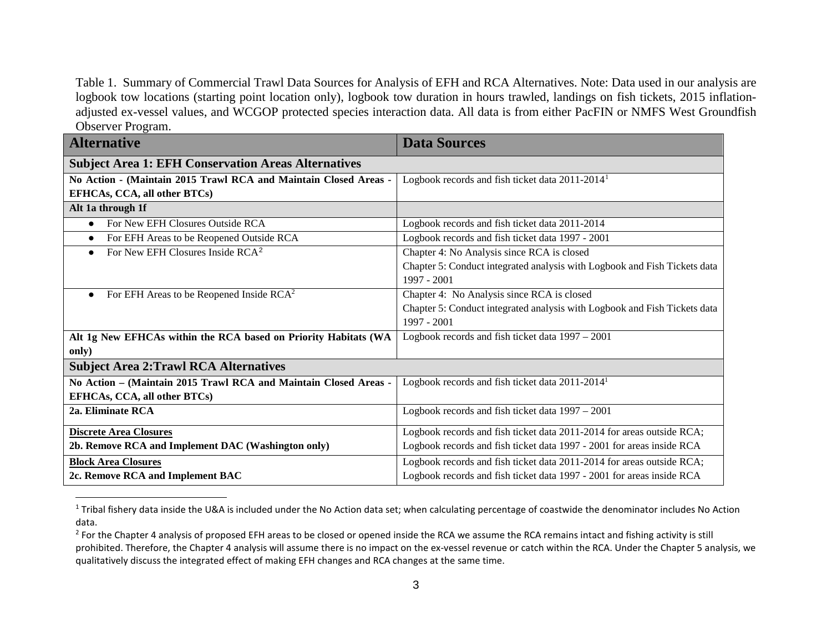<span id="page-2-1"></span><span id="page-2-0"></span>Table 1. Summary of Commercial Trawl Data Sources for Analysis of EFH and RCA Alternatives. Note: Data used in our analysis are logbook tow locations (starting point location only), logbook tow duration in hours trawled, landings on fish tickets, 2015 inflationadjusted ex-vessel values, and WCGOP protected species interaction data. All data is from either PacFIN or NMFS West Groundfish Observer Program.

| <b>Alternative</b>                                               | <b>Data Sources</b>                                                       |  |  |  |
|------------------------------------------------------------------|---------------------------------------------------------------------------|--|--|--|
| <b>Subject Area 1: EFH Conservation Areas Alternatives</b>       |                                                                           |  |  |  |
| No Action - (Maintain 2015 Trawl RCA and Maintain Closed Areas - | Logbook records and fish ticket data 2011-2014 <sup>1</sup>               |  |  |  |
| EFHCAs, CCA, all other BTCs)                                     |                                                                           |  |  |  |
| Alt 1a through 1f                                                |                                                                           |  |  |  |
| For New EFH Closures Outside RCA<br>$\bullet$                    | Logbook records and fish ticket data 2011-2014                            |  |  |  |
| For EFH Areas to be Reopened Outside RCA<br>$\bullet$            | Logbook records and fish ticket data 1997 - 2001                          |  |  |  |
| For New EFH Closures Inside RCA <sup>2</sup>                     | Chapter 4: No Analysis since RCA is closed                                |  |  |  |
|                                                                  | Chapter 5: Conduct integrated analysis with Logbook and Fish Tickets data |  |  |  |
|                                                                  | 1997 - 2001                                                               |  |  |  |
| For EFH Areas to be Reopened Inside $RCA^2$<br>$\bullet$         | Chapter 4: No Analysis since RCA is closed                                |  |  |  |
|                                                                  | Chapter 5: Conduct integrated analysis with Logbook and Fish Tickets data |  |  |  |
|                                                                  | 1997 - 2001                                                               |  |  |  |
| Alt 1g New EFHCAs within the RCA based on Priority Habitats (WA  | Logbook records and fish ticket data 1997 - 2001                          |  |  |  |
| only)                                                            |                                                                           |  |  |  |
| <b>Subject Area 2: Trawl RCA Alternatives</b>                    |                                                                           |  |  |  |
| No Action - (Maintain 2015 Trawl RCA and Maintain Closed Areas - | Logbook records and fish ticket data 2011-2014 <sup>1</sup>               |  |  |  |
| EFHCAs, CCA, all other BTCs)                                     |                                                                           |  |  |  |
| 2a. Eliminate RCA                                                | Logbook records and fish ticket data 1997 - 2001                          |  |  |  |
| <b>Discrete Area Closures</b>                                    | Logbook records and fish ticket data 2011-2014 for areas outside RCA;     |  |  |  |
| 2b. Remove RCA and Implement DAC (Washington only)               | Logbook records and fish ticket data 1997 - 2001 for areas inside RCA     |  |  |  |
| <b>Block Area Closures</b>                                       | Logbook records and fish ticket data 2011-2014 for areas outside RCA;     |  |  |  |
| 2c. Remove RCA and Implement BAC                                 | Logbook records and fish ticket data 1997 - 2001 for areas inside RCA     |  |  |  |

<sup>&</sup>lt;sup>1</sup> Tribal fishery data inside the U&A is included under the No Action data set; when calculating percentage of coastwide the denominator includes No Action data.

 $\overline{a}$ 

<sup>&</sup>lt;sup>2</sup> For the Chapter 4 analysis of proposed EFH areas to be closed or opened inside the RCA we assume the RCA remains intact and fishing activity is still prohibited. Therefore, the Chapter 4 analysis will assume there is no impact on the ex-vessel revenue or catch within the RCA. Under the Chapter 5 analysis, we qualitatively discuss the integrated effect of making EFH changes and RCA changes at the same time.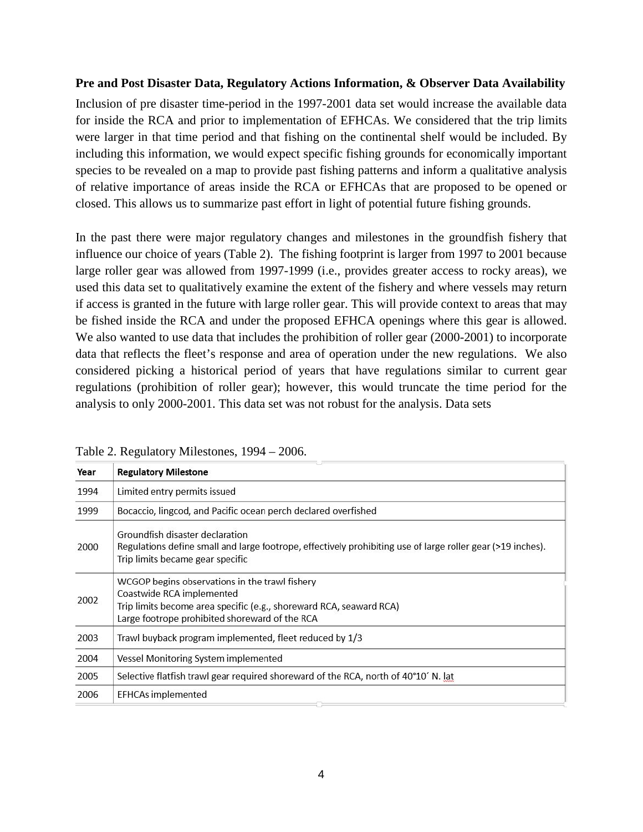#### **Pre and Post Disaster Data, Regulatory Actions Information, & Observer Data Availability**

Inclusion of pre disaster time-period in the 1997-2001 data set would increase the available data for inside the RCA and prior to implementation of EFHCAs. We considered that the trip limits were larger in that time period and that fishing on the continental shelf would be included. By including this information, we would expect specific fishing grounds for economically important species to be revealed on a map to provide past fishing patterns and inform a qualitative analysis of relative importance of areas inside the RCA or EFHCAs that are proposed to be opened or closed. This allows us to summarize past effort in light of potential future fishing grounds.

In the past there were major regulatory changes and milestones in the groundfish fishery that influence our choice of years (Table 2). The fishing footprint is larger from 1997 to 2001 because large roller gear was allowed from 1997-1999 (i.e., provides greater access to rocky areas), we used this data set to qualitatively examine the extent of the fishery and where vessels may return if access is granted in the future with large roller gear. This will provide context to areas that may be fished inside the RCA and under the proposed EFHCA openings where this gear is allowed. We also wanted to use data that includes the prohibition of roller gear (2000-2001) to incorporate data that reflects the fleet's response and area of operation under the new regulations. We also considered picking a historical period of years that have regulations similar to current gear regulations (prohibition of roller gear); however, this would truncate the time period for the analysis to only 2000-2001. This data set was not robust for the analysis. Data sets

| Year | <b>Regulatory Milestone</b>                                                                                                                                                                          |  |  |  |
|------|------------------------------------------------------------------------------------------------------------------------------------------------------------------------------------------------------|--|--|--|
| 1994 | Limited entry permits issued                                                                                                                                                                         |  |  |  |
| 1999 | Bocaccio, lingcod, and Pacific ocean perch declared overfished                                                                                                                                       |  |  |  |
| 2000 | Groundfish disaster declaration<br>Regulations define small and large footrope, effectively prohibiting use of large roller gear (>19 inches).<br>Trip limits became gear specific                   |  |  |  |
| 2002 | WCGOP begins observations in the trawl fishery<br>Coastwide RCA implemented<br>Trip limits become area specific (e.g., shoreward RCA, seaward RCA)<br>Large footrope prohibited shoreward of the RCA |  |  |  |
| 2003 | Trawl buyback program implemented, fleet reduced by 1/3                                                                                                                                              |  |  |  |
| 2004 | Vessel Monitoring System implemented                                                                                                                                                                 |  |  |  |
| 2005 | Selective flatfish trawl gear required shoreward of the RCA, north of 40°10' N. lat                                                                                                                  |  |  |  |
| 2006 | <b>EFHCAs implemented</b>                                                                                                                                                                            |  |  |  |

Table 2. Regulatory Milestones, 1994 – 2006.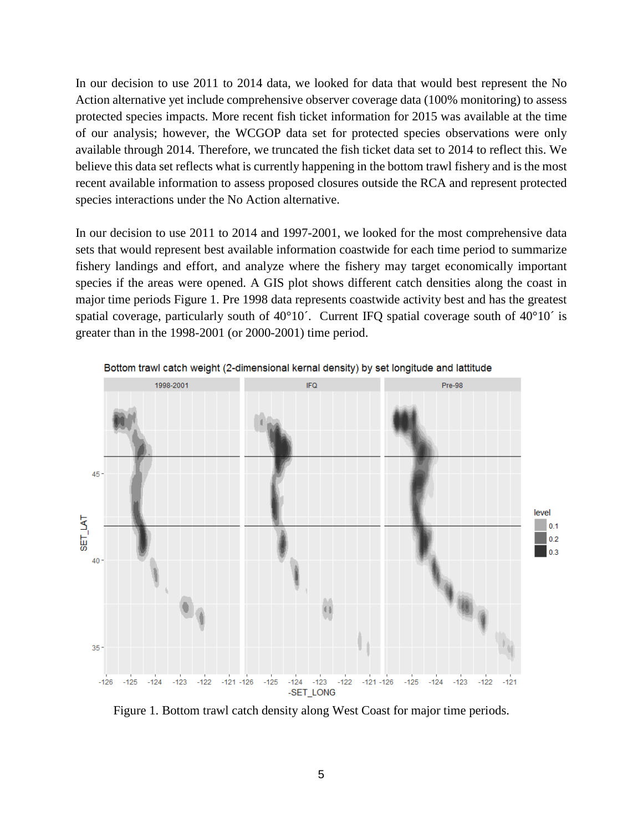In our decision to use 2011 to 2014 data, we looked for data that would best represent the No Action alternative yet include comprehensive observer coverage data (100% monitoring) to assess protected species impacts. More recent fish ticket information for 2015 was available at the time of our analysis; however, the WCGOP data set for protected species observations were only available through 2014. Therefore, we truncated the fish ticket data set to 2014 to reflect this. We believe this data set reflects what is currently happening in the bottom trawl fishery and is the most recent available information to assess proposed closures outside the RCA and represent protected species interactions under the No Action alternative.

In our decision to use 2011 to 2014 and 1997-2001, we looked for the most comprehensive data sets that would represent best available information coastwide for each time period to summarize fishery landings and effort, and analyze where the fishery may target economically important species if the areas were opened. A GIS plot shows different catch densities along the coast in major time periods Figure 1. Pre 1998 data represents coastwide activity best and has the greatest spatial coverage, particularly south of 40°10<sup>'</sup>. Current IFQ spatial coverage south of 40°10<sup>'</sup> is greater than in the 1998-2001 (or 2000-2001) time period.



Bottom trawl catch weight (2-dimensional kernal density) by set longitude and lattitude

Figure 1. Bottom trawl catch density along West Coast for major time periods.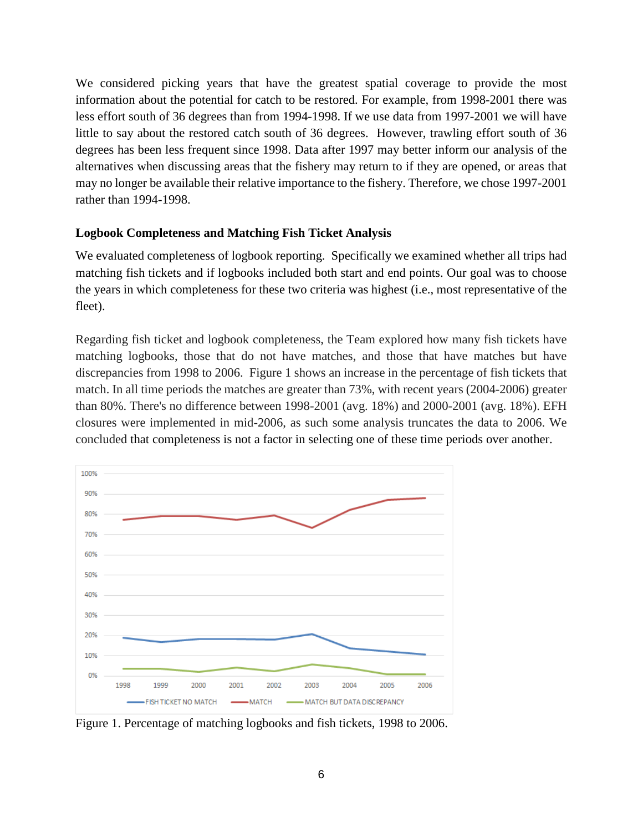We considered picking years that have the greatest spatial coverage to provide the most information about the potential for catch to be restored. For example, from 1998-2001 there was less effort south of 36 degrees than from 1994-1998. If we use data from 1997-2001 we will have little to say about the restored catch south of 36 degrees. However, trawling effort south of 36 degrees has been less frequent since 1998. Data after 1997 may better inform our analysis of the alternatives when discussing areas that the fishery may return to if they are opened, or areas that may no longer be available their relative importance to the fishery. Therefore, we chose 1997-2001 rather than 1994-1998.

# **Logbook Completeness and Matching Fish Ticket Analysis**

We evaluated completeness of logbook reporting. Specifically we examined whether all trips had matching fish tickets and if logbooks included both start and end points. Our goal was to choose the years in which completeness for these two criteria was highest (i.e., most representative of the fleet).

Regarding fish ticket and logbook completeness, the Team explored how many fish tickets have matching logbooks, those that do not have matches, and those that have matches but have discrepancies from 1998 to 2006. Figure 1 shows an increase in the percentage of fish tickets that match. In all time periods the matches are greater than 73%, with recent years (2004-2006) greater than 80%. There's no difference between 1998-2001 (avg. 18%) and 2000-2001 (avg. 18%). EFH closures were implemented in mid-2006, as such some analysis truncates the data to 2006. We concluded that completeness is not a factor in selecting one of these time periods over another.



Figure 1. Percentage of matching logbooks and fish tickets, 1998 to 2006.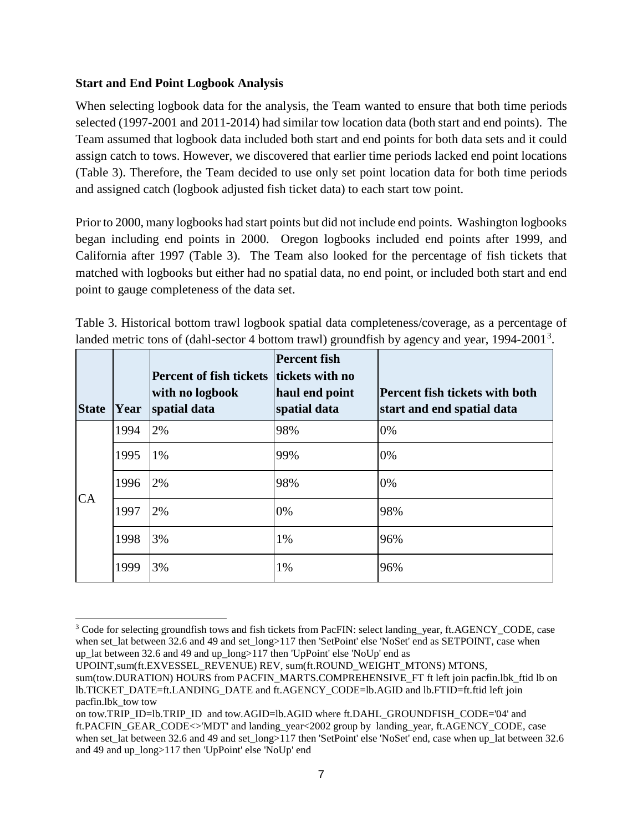# **Start and End Point Logbook Analysis**

When selecting logbook data for the analysis, the Team wanted to ensure that both time periods selected (1997-2001 and 2011-2014) had similar tow location data (both start and end points). The Team assumed that logbook data included both start and end points for both data sets and it could assign catch to tows. However, we discovered that earlier time periods lacked end point locations (Table 3). Therefore, the Team decided to use only set point location data for both time periods and assigned catch (logbook adjusted fish ticket data) to each start tow point.

Prior to 2000, many logbooks had start points but did not include end points. Washington logbooks began including end points in 2000. Oregon logbooks included end points after 1999, and California after 1997 (Table 3). The Team also looked for the percentage of fish tickets that matched with logbooks but either had no spatial data, no end point, or included both start and end point to gauge completeness of the data set.

Table 3. Historical bottom trawl logbook spatial data completeness/coverage, as a percentage of landed metric tons of (dahl-sector 4 bottom trawl) groundfish by agency and year, 1994-2001<sup>[3](#page-6-0)</sup>.

| <b>State</b> | Year | <b>Percent of fish tickets</b><br>with no logbook<br>spatial data | <b>Percent fish</b><br>tickets with no<br>haul end point<br>spatial data | Percent fish tickets with both<br>start and end spatial data |
|--------------|------|-------------------------------------------------------------------|--------------------------------------------------------------------------|--------------------------------------------------------------|
| CA           | 1994 | 2%                                                                | 98%                                                                      | 0%                                                           |
|              | 1995 | 1%                                                                | 99%                                                                      | 0%                                                           |
|              | 1996 | 2%                                                                | 98%                                                                      | 0%                                                           |
|              | 1997 | 2%                                                                | 0%                                                                       | 98%                                                          |
|              | 1998 | 3%                                                                | 1%                                                                       | 96%                                                          |
|              | 1999 | 3%                                                                | 1%                                                                       | 96%                                                          |

<span id="page-6-0"></span><sup>-</sup><sup>3</sup> Code for selecting groundfish tows and fish tickets from PacFIN: select landing year, ft.AGENCY\_CODE, case when set\_lat between 32.6 and 49 and set\_long>117 then 'SetPoint' else 'NoSet' end as SETPOINT, case when up\_lat between 32.6 and 49 and up\_long>117 then 'UpPoint' else 'NoUp' end as

UPOINT,sum(ft.EXVESSEL\_REVENUE) REV, sum(ft.ROUND\_WEIGHT\_MTONS) MTONS,

sum(tow.DURATION) HOURS from PACFIN\_MARTS.COMPREHENSIVE\_FT ft left join pacfin.lbk\_ftid lb on lb.TICKET\_DATE=ft.LANDING\_DATE and ft.AGENCY\_CODE=lb.AGID and lb.FTID=ft.ftid left join pacfin.lbk\_tow tow

on tow.TRIP\_ID=lb.TRIP\_ID and tow.AGID=lb.AGID where ft.DAHL\_GROUNDFISH\_CODE='04' and ft.PACFIN\_GEAR\_CODE<>'MDT' and landing\_year<2002 group by landing\_year, ft.AGENCY\_CODE, case when set lat between 32.6 and 49 and set long>117 then 'SetPoint' else 'NoSet' end, case when up\_lat between 32.6 and 49 and up\_long>117 then 'UpPoint' else 'NoUp' end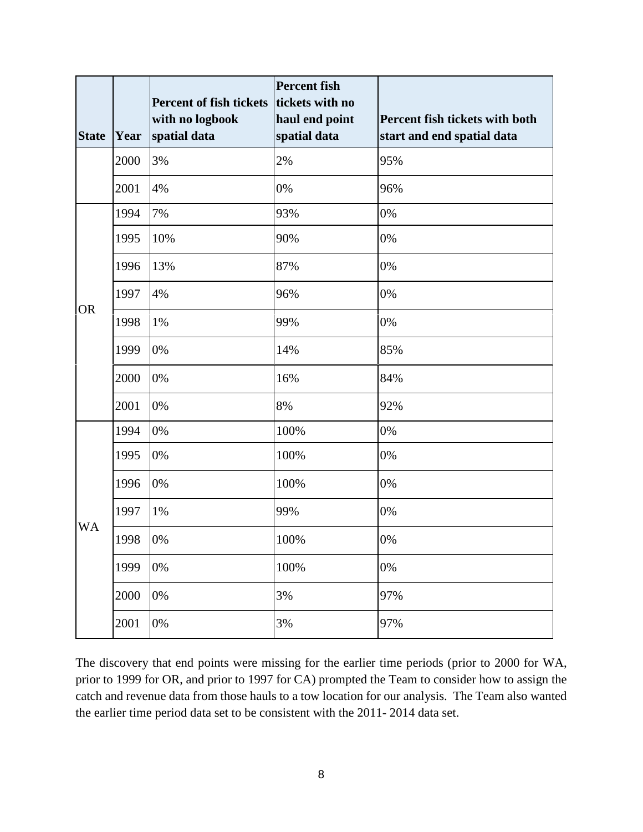| <b>State</b> | Year | <b>Percent of fish tickets</b><br>with no logbook<br>spatial data | <b>Percent</b> fish<br>tickets with no<br>haul end point<br>spatial data | Percent fish tickets with both<br>start and end spatial data |
|--------------|------|-------------------------------------------------------------------|--------------------------------------------------------------------------|--------------------------------------------------------------|
|              | 2000 | 3%                                                                | 2%                                                                       | 95%                                                          |
|              | 2001 | 4%                                                                | 0%                                                                       | 96%                                                          |
| <b>OR</b>    | 1994 | 7%                                                                | 93%                                                                      | 0%                                                           |
|              | 1995 | 10%                                                               | 90%                                                                      | 0%                                                           |
|              | 1996 | 13%                                                               | 87%                                                                      | 0%                                                           |
|              | 1997 | 4%                                                                | 96%                                                                      | 0%                                                           |
|              | 1998 | 1%                                                                | 99%                                                                      | 0%                                                           |
|              | 1999 | 0%                                                                | 14%                                                                      | 85%                                                          |
|              | 2000 | 0%                                                                | 16%                                                                      | 84%                                                          |
|              | 2001 | 0%                                                                | 8%                                                                       | 92%                                                          |
| <b>WA</b>    | 1994 | 0%                                                                | 100%                                                                     | $0\%$                                                        |
|              | 1995 | 0%                                                                | 100%                                                                     | 0%                                                           |
|              | 1996 | 0%                                                                | 100%                                                                     | 0%                                                           |
|              | 1997 | 1%                                                                | 99%                                                                      | 0%                                                           |
|              | 1998 | 0%                                                                | 100%                                                                     | $0\%$                                                        |
|              | 1999 | 0%                                                                | 100%                                                                     | 0%                                                           |
|              | 2000 | 0%                                                                | 3%                                                                       | 97%                                                          |
|              | 2001 | 0%                                                                | 3%                                                                       | 97%                                                          |

The discovery that end points were missing for the earlier time periods (prior to 2000 for WA, prior to 1999 for OR, and prior to 1997 for CA) prompted the Team to consider how to assign the catch and revenue data from those hauls to a tow location for our analysis. The Team also wanted the earlier time period data set to be consistent with the 2011- 2014 data set.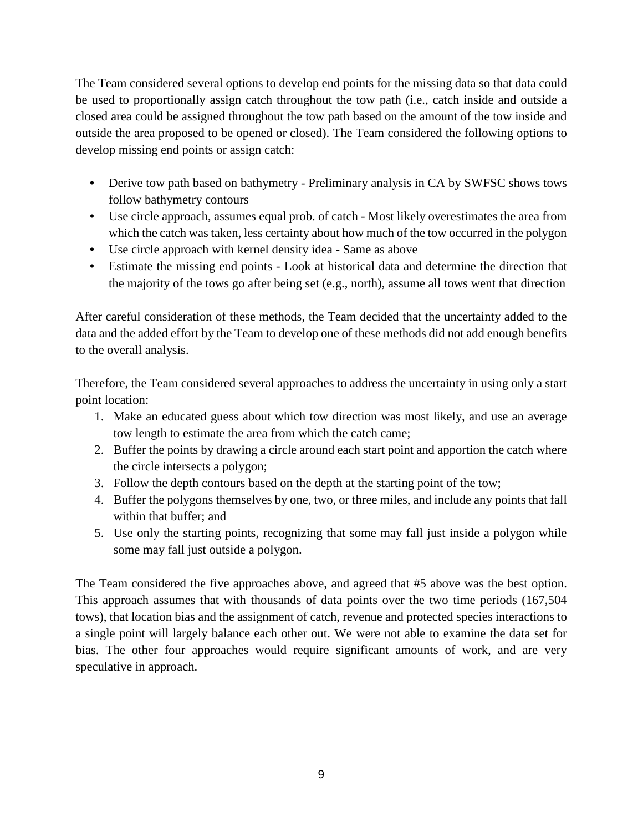The Team considered several options to develop end points for the missing data so that data could be used to proportionally assign catch throughout the tow path (i.e., catch inside and outside a closed area could be assigned throughout the tow path based on the amount of the tow inside and outside the area proposed to be opened or closed). The Team considered the following options to develop missing end points or assign catch:

- Derive tow path based on bathymetry Preliminary analysis in CA by SWFSC shows tows follow bathymetry contours
- Use circle approach, assumes equal prob. of catch Most likely overestimates the area from which the catch was taken, less certainty about how much of the tow occurred in the polygon
- Use circle approach with kernel density idea Same as above
- Estimate the missing end points Look at historical data and determine the direction that the majority of the tows go after being set (e.g., north), assume all tows went that direction

After careful consideration of these methods, the Team decided that the uncertainty added to the data and the added effort by the Team to develop one of these methods did not add enough benefits to the overall analysis.

Therefore, the Team considered several approaches to address the uncertainty in using only a start point location:

- 1. Make an educated guess about which tow direction was most likely, and use an average tow length to estimate the area from which the catch came;
- 2. Buffer the points by drawing a circle around each start point and apportion the catch where the circle intersects a polygon;
- 3. Follow the depth contours based on the depth at the starting point of the tow;
- 4. Buffer the polygons themselves by one, two, or three miles, and include any points that fall within that buffer; and
- 5. Use only the starting points, recognizing that some may fall just inside a polygon while some may fall just outside a polygon.

The Team considered the five approaches above, and agreed that #5 above was the best option. This approach assumes that with thousands of data points over the two time periods (167,504 tows), that location bias and the assignment of catch, revenue and protected species interactions to a single point will largely balance each other out. We were not able to examine the data set for bias. The other four approaches would require significant amounts of work, and are very speculative in approach.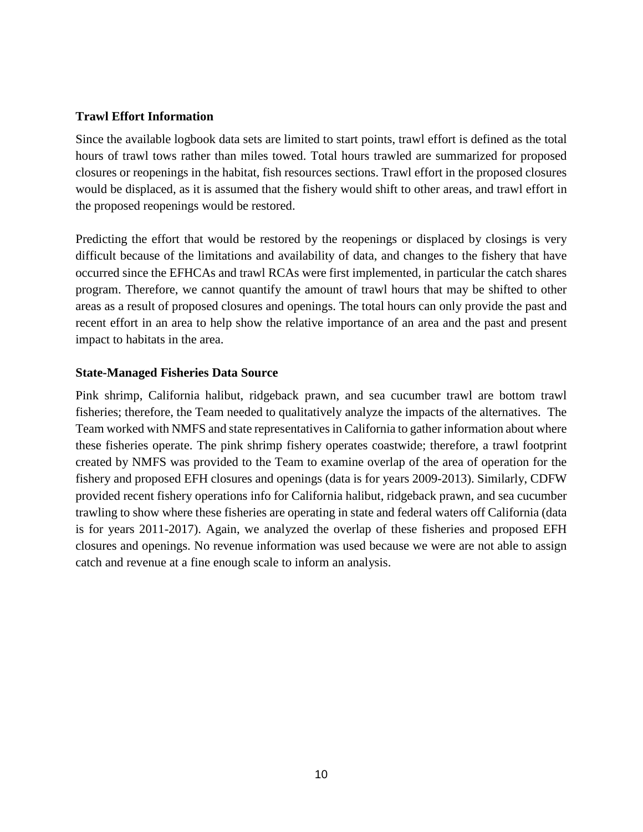### **Trawl Effort Information**

Since the available logbook data sets are limited to start points, trawl effort is defined as the total hours of trawl tows rather than miles towed. Total hours trawled are summarized for proposed closures or reopenings in the habitat, fish resources sections. Trawl effort in the proposed closures would be displaced, as it is assumed that the fishery would shift to other areas, and trawl effort in the proposed reopenings would be restored.

Predicting the effort that would be restored by the reopenings or displaced by closings is very difficult because of the limitations and availability of data, and changes to the fishery that have occurred since the EFHCAs and trawl RCAs were first implemented, in particular the catch shares program. Therefore, we cannot quantify the amount of trawl hours that may be shifted to other areas as a result of proposed closures and openings. The total hours can only provide the past and recent effort in an area to help show the relative importance of an area and the past and present impact to habitats in the area.

# **State-Managed Fisheries Data Source**

Pink shrimp, California halibut, ridgeback prawn, and sea cucumber trawl are bottom trawl fisheries; therefore, the Team needed to qualitatively analyze the impacts of the alternatives. The Team worked with NMFS and state representatives in California to gather information about where these fisheries operate. The pink shrimp fishery operates coastwide; therefore, a trawl footprint created by NMFS was provided to the Team to examine overlap of the area of operation for the fishery and proposed EFH closures and openings (data is for years 2009-2013). Similarly, CDFW provided recent fishery operations info for California halibut, ridgeback prawn, and sea cucumber trawling to show where these fisheries are operating in state and federal waters off California (data is for years 2011-2017). Again, we analyzed the overlap of these fisheries and proposed EFH closures and openings. No revenue information was used because we were are not able to assign catch and revenue at a fine enough scale to inform an analysis.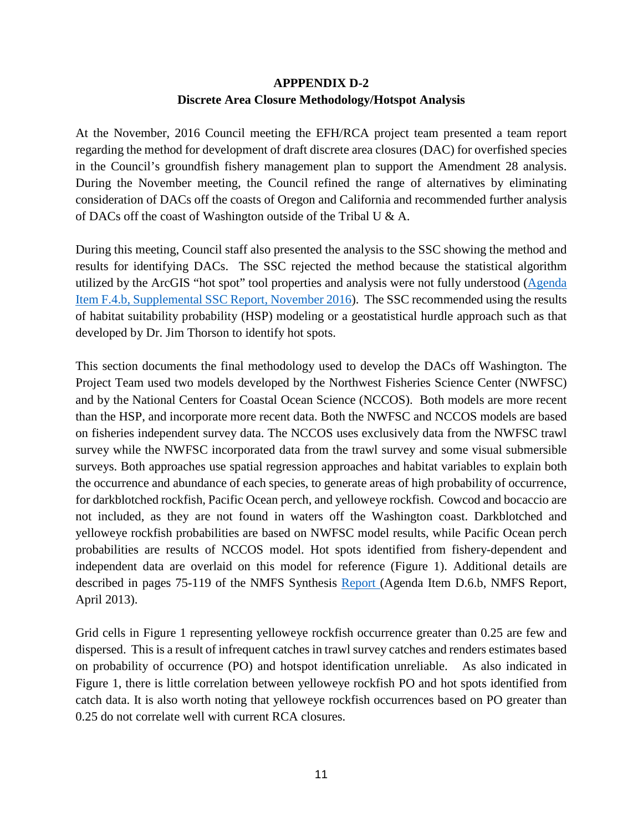# **APPPENDIX D-2 Discrete Area Closure Methodology/Hotspot Analysis**

At the November, 2016 Council meeting the EFH/RCA project team presented a team report regarding the method for development of draft discrete area closures (DAC) for overfished species in the Council's groundfish fishery management plan to support the Amendment 28 analysis. During the November meeting, the Council refined the range of alternatives by eliminating consideration of DACs off the coasts of Oregon and California and recommended further analysis of DACs off the coast of Washington outside of the Tribal U & A.

During this meeting, Council staff also presented the analysis to the SSC showing the method and results for identifying DACs. The SSC rejected the method because the statistical algorithm utilized by the ArcGIS "hot spot" tool properties and analysis were not fully understood [\(Agenda](http://www.pcouncil.org/wp-content/uploads/2016/11/F4b_Sup_SSC_Rpt_NOV2016BB.pdf)  [Item F.4.b, Supplemental SSC Report, November 2016\)](http://www.pcouncil.org/wp-content/uploads/2016/11/F4b_Sup_SSC_Rpt_NOV2016BB.pdf). The SSC recommended using the results of habitat suitability probability (HSP) modeling or a geostatistical hurdle approach such as that developed by Dr. Jim Thorson to identify hot spots.

This section documents the final methodology used to develop the DACs off Washington. The Project Team used two models developed by the Northwest Fisheries Science Center (NWFSC) and by the National Centers for Coastal Ocean Science (NCCOS). Both models are more recent than the HSP, and incorporate more recent data. Both the NWFSC and NCCOS models are based on fisheries independent survey data. The NCCOS uses exclusively data from the NWFSC trawl survey while the NWFSC incorporated data from the trawl survey and some visual submersible surveys. Both approaches use spatial regression approaches and habitat variables to explain both the occurrence and abundance of each species, to generate areas of high probability of occurrence, for darkblotched rockfish, Pacific Ocean perch, and yelloweye rockfish. Cowcod and bocaccio are not included, as they are not found in waters off the Washington coast. Darkblotched and yelloweye rockfish probabilities are based on NWFSC model results, while Pacific Ocean perch probabilities are results of NCCOS model. Hot spots identified from fishery-dependent and independent data are overlaid on this model for reference (Figure 1). Additional details are described in pages 75-119 of the NMFS Synthesis [Report \(](http://www.pcouncil.org/wp-content/uploads/D6b_NMFS_SYNTH_ELECTRIC_ONLY_APR2013BB.pdf)Agenda Item D.6.b, NMFS Report, April 2013).

Grid cells in Figure 1 representing yelloweye rockfish occurrence greater than 0.25 are few and dispersed. This is a result of infrequent catches in trawl survey catches and renders estimates based on probability of occurrence (PO) and hotspot identification unreliable. As also indicated in Figure 1, there is little correlation between yelloweye rockfish PO and hot spots identified from catch data. It is also worth noting that yelloweye rockfish occurrences based on PO greater than 0.25 do not correlate well with current RCA closures.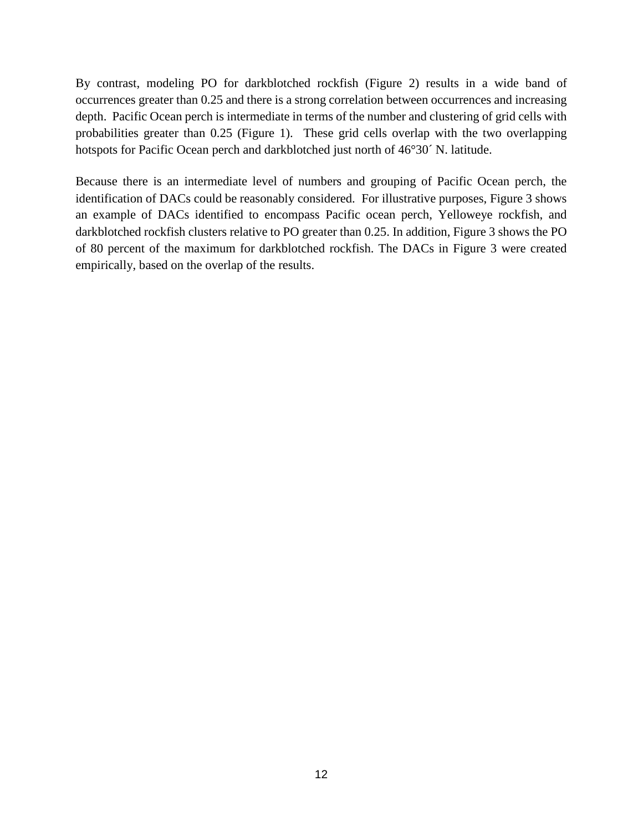By contrast, modeling PO for darkblotched rockfish (Figure 2) results in a wide band of occurrences greater than 0.25 and there is a strong correlation between occurrences and increasing depth. Pacific Ocean perch is intermediate in terms of the number and clustering of grid cells with probabilities greater than 0.25 (Figure 1). These grid cells overlap with the two overlapping hotspots for Pacific Ocean perch and darkblotched just north of 46°30´ N. latitude.

Because there is an intermediate level of numbers and grouping of Pacific Ocean perch, the identification of DACs could be reasonably considered. For illustrative purposes, Figure 3 shows an example of DACs identified to encompass Pacific ocean perch, Yelloweye rockfish, and darkblotched rockfish clusters relative to PO greater than 0.25. In addition, Figure 3 shows the PO of 80 percent of the maximum for darkblotched rockfish. The DACs in Figure 3 were created empirically, based on the overlap of the results.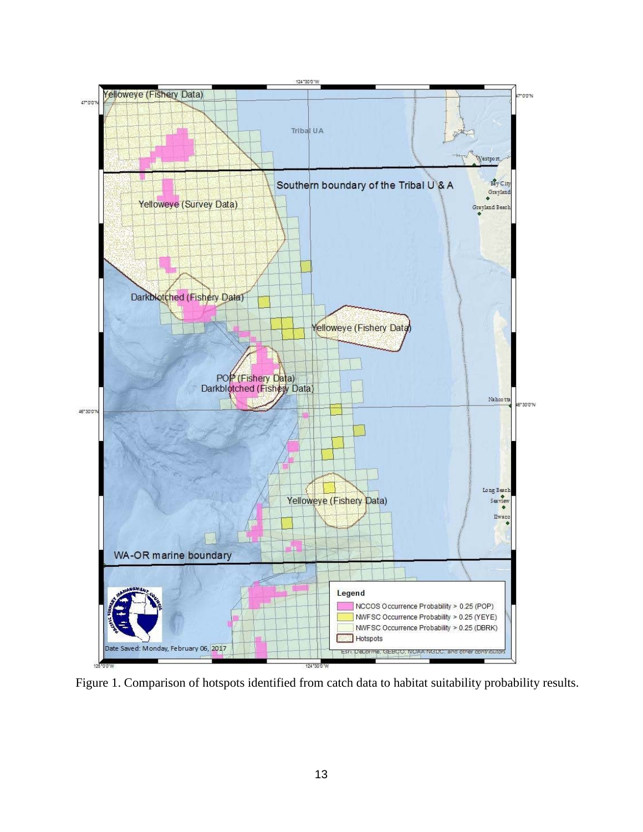

Figure 1. Comparison of hotspots identified from catch data to habitat suitability probability results.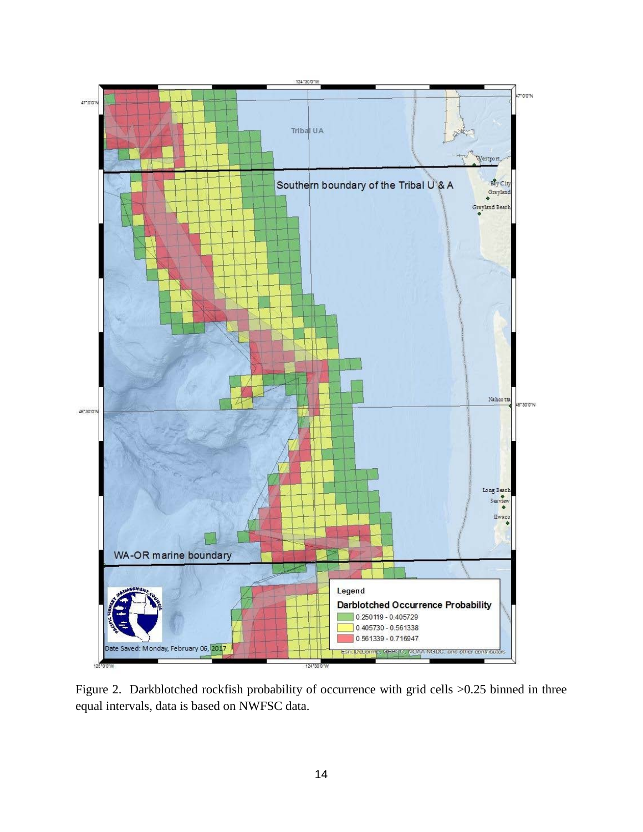

Figure 2. Darkblotched rockfish probability of occurrence with grid cells >0.25 binned in three equal intervals, data is based on NWFSC data.